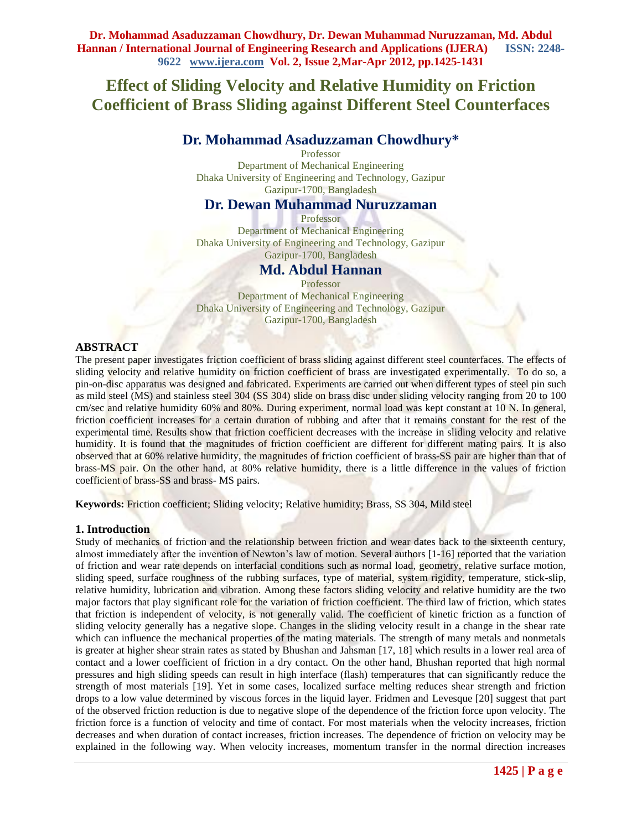# **Effect of Sliding Velocity and Relative Humidity on Friction Coefficient of Brass Sliding against Different Steel Counterfaces**

# **Dr. Mohammad Asaduzzaman Chowdhury\***

Professor Department of Mechanical Engineering Dhaka University of Engineering and Technology, Gazipur Gazipur-1700, Bangladesh

## **Dr. Dewan Muhammad Nuruzzaman**

Professor Department of Mechanical Engineering Dhaka University of Engineering and Technology, Gazipur Gazipur-1700, Bangladesh

# **Md. Abdul Hannan**

Professor Department of Mechanical Engineering Dhaka University of Engineering and Technology, Gazipur Gazipur-1700, Bangladesh

#### **ABSTRACT**

The present paper investigates friction coefficient of brass sliding against different steel counterfaces. The effects of sliding velocity and relative humidity on friction coefficient of brass are investigated experimentally. To do so, a pin-on-disc apparatus was designed and fabricated. Experiments are carried out when different types of steel pin such as mild steel (MS) and stainless steel 304 (SS 304) slide on brass disc under sliding velocity ranging from 20 to 100 cm/sec and relative humidity 60% and 80%. During experiment, normal load was kept constant at 10 N. In general, friction coefficient increases for a certain duration of rubbing and after that it remains constant for the rest of the experimental time. Results show that friction coefficient decreases with the increase in sliding velocity and relative humidity. It is found that the magnitudes of friction coefficient are different for different mating pairs. It is also observed that at 60% relative humidity, the magnitudes of friction coefficient of brass-SS pair are higher than that of brass-MS pair. On the other hand, at 80% relative humidity, there is a little difference in the values of friction coefficient of brass-SS and brass- MS pairs.

**Keywords:** Friction coefficient; Sliding velocity; Relative humidity; Brass, SS 304, Mild steel

#### **1. Introduction**

Study of mechanics of friction and the relationship between friction and wear dates back to the sixteenth century, almost immediately after the invention of Newton's law of motion. Several authors [1-16] reported that the variation of friction and wear rate depends on interfacial conditions such as normal load, geometry, relative surface motion, sliding speed, surface roughness of the rubbing surfaces, type of material, system rigidity, temperature, stick-slip, relative humidity, lubrication and vibration. Among these factors sliding velocity and relative humidity are the two major factors that play significant role for the variation of friction coefficient. The third law of friction, which states that friction is independent of velocity, is not generally valid. The coefficient of kinetic friction as a function of sliding velocity generally has a negative slope. Changes in the sliding velocity result in a change in the shear rate which can influence the mechanical properties of the mating materials. The strength of many metals and nonmetals is greater at higher shear strain rates as stated by Bhushan and Jahsman [17, 18] which results in a lower real area of contact and a lower coefficient of friction in a dry contact. On the other hand, Bhushan reported that high normal pressures and high sliding speeds can result in high interface (flash) temperatures that can significantly reduce the strength of most materials [19]. Yet in some cases, localized surface melting reduces shear strength and friction drops to a low value determined by viscous forces in the liquid layer. Fridmen and Levesque [20] suggest that part of the observed friction reduction is due to negative slope of the dependence of the friction force upon velocity. The friction force is a function of velocity and time of contact. For most materials when the velocity increases, friction decreases and when duration of contact increases, friction increases. The dependence of friction on velocity may be explained in the following way. When velocity increases, momentum transfer in the normal direction increases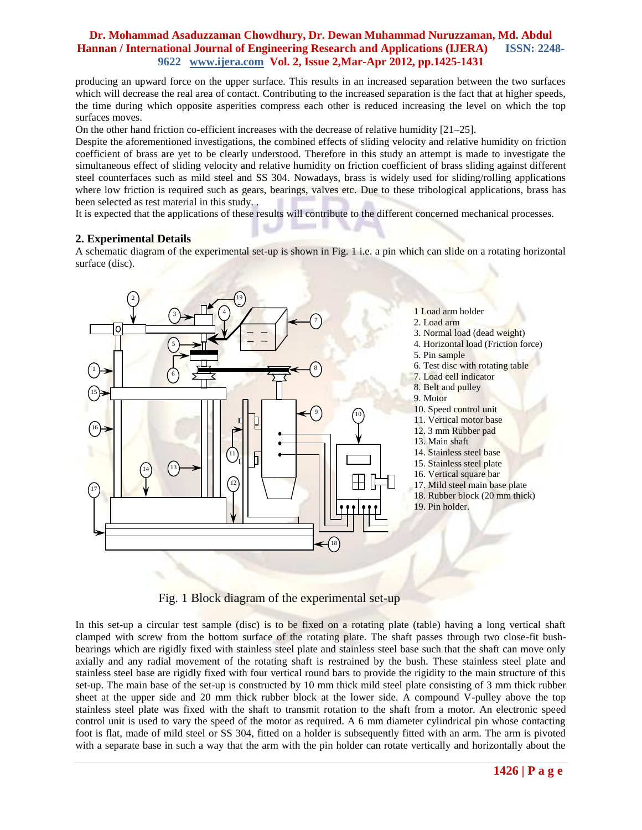producing an upward force on the upper surface. This results in an increased separation between the two surfaces which will decrease the real area of contact. Contributing to the increased separation is the fact that at higher speeds, the time during which opposite asperities compress each other is reduced increasing the level on which the top surfaces moves.

On the other hand friction co-efficient increases with the decrease of relative humidity [21–25].

Despite the aforementioned investigations, the combined effects of sliding velocity and relative humidity on friction coefficient of brass are yet to be clearly understood. Therefore in this study an attempt is made to investigate the simultaneous effect of sliding velocity and relative humidity on friction coefficient of brass sliding against different steel counterfaces such as mild steel and SS 304. Nowadays, brass is widely used for sliding/rolling applications where low friction is required such as gears, bearings, valves etc. Due to these tribological applications, brass has been selected as test material in this study. .

It is expected that the applications of these results will contribute to the different concerned mechanical processes.

#### **2. Experimental Details**

A schematic diagram of the experimental set-up is shown in Fig. 1 i.e. a pin which can slide on a rotating horizontal surface (disc).



Fig. 1 Block diagram of the experimental set-up

In this set-up a circular test sample (disc) is to be fixed on a rotating plate (table) having a long vertical shaft clamped with screw from the bottom surface of the rotating plate. The shaft passes through two close-fit bushbearings which are rigidly fixed with stainless steel plate and stainless steel base such that the shaft can move only axially and any radial movement of the rotating shaft is restrained by the bush. These stainless steel plate and stainless steel base are rigidly fixed with four vertical round bars to provide the rigidity to the main structure of this set-up. The main base of the set-up is constructed by 10 mm thick mild steel plate consisting of 3 mm thick rubber sheet at the upper side and 20 mm thick rubber block at the lower side. A compound V-pulley above the top stainless steel plate was fixed with the shaft to transmit rotation to the shaft from a motor. An electronic speed control unit is used to vary the speed of the motor as required. A 6 mm diameter cylindrical pin whose contacting foot is flat, made of mild steel or SS 304, fitted on a holder is subsequently fitted with an arm. The arm is pivoted with a separate base in such a way that the arm with the pin holder can rotate vertically and horizontally about the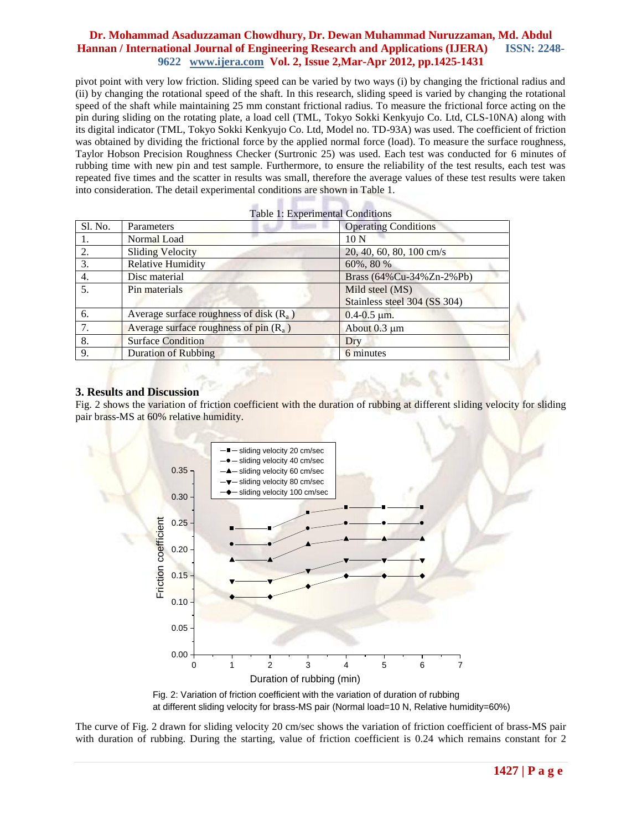pivot point with very low friction. Sliding speed can be varied by two ways (i) by changing the frictional radius and (ii) by changing the rotational speed of the shaft. In this research, sliding speed is varied by changing the rotational speed of the shaft while maintaining 25 mm constant frictional radius. To measure the frictional force acting on the pin during sliding on the rotating plate, a load cell (TML, Tokyo Sokki Kenkyujo Co. Ltd, CLS-10NA) along with its digital indicator (TML, Tokyo Sokki Kenkyujo Co. Ltd, Model no. TD-93A) was used. The coefficient of friction was obtained by dividing the frictional force by the applied normal force (load). To measure the surface roughness, Taylor Hobson Precision Roughness Checker (Surtronic 25) was used. Each test was conducted for 6 minutes of rubbing time with new pin and test sample. Furthermore, to ensure the reliability of the test results, each test was repeated five times and the scatter in results was small, therefore the average values of these test results were taken into consideration. The detail experimental conditions are shown in Table 1.

> в m.

 $\sim$ 

|         | Table 1: Experimental Conditions          |                              |
|---------|-------------------------------------------|------------------------------|
| Sl. No. | <b>Parameters</b>                         | <b>Operating Conditions</b>  |
| 1.      | Normal Load                               | 10 N                         |
| 2.      | <b>Sliding Velocity</b>                   | 20, 40, 60, 80, 100 cm/s     |
| 3.      | <b>Relative Humidity</b>                  | 60%, 80 %                    |
| 4.      | Disc material                             | Brass (64%Cu-34%Zn-2%Pb)     |
| 5.      | Pin materials                             | Mild steel (MS)              |
|         |                                           | Stainless steel 304 (SS 304) |
| 6.      | Average surface roughness of disk $(R_a)$ | $0.4 - 0.5 \mu m$ .          |
| 7.      | Average surface roughness of $pin(R_a)$   | About $0.3 \mu m$            |
| 8.      | <b>Surface Condition</b>                  | Dry                          |
| 9.      | <b>Duration of Rubbing</b>                | 6 minutes                    |

×

#### **3. Results and Discussion**

Fig. 2 shows the variation of friction coefficient with the duration of rubbing at different sliding velocity for sliding pair brass-MS at 60% relative humidity.





The curve of Fig. 2 drawn for sliding velocity 20 cm/sec shows the variation of friction coefficient of brass-MS pair with duration of rubbing. During the starting, value of friction coefficient is 0.24 which remains constant for 2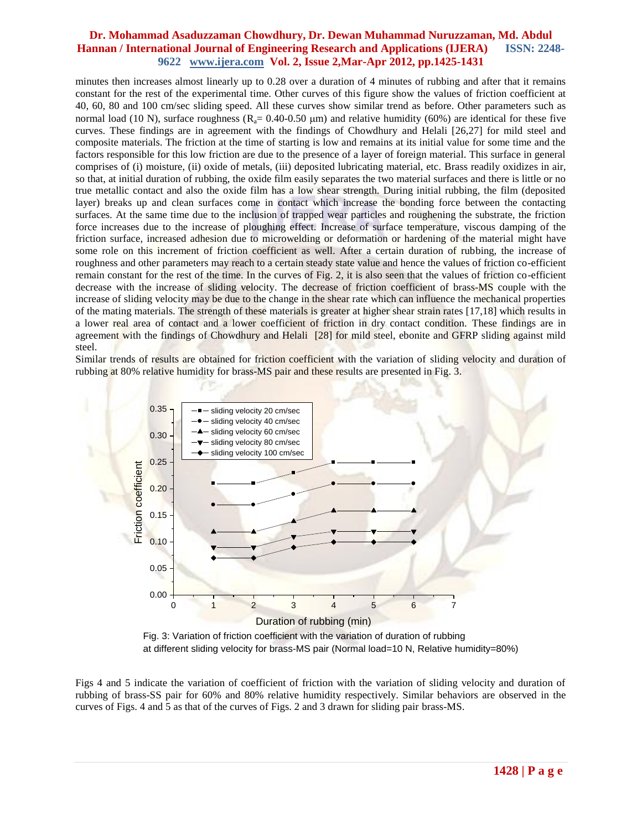minutes then increases almost linearly up to 0.28 over a duration of 4 minutes of rubbing and after that it remains constant for the rest of the experimental time. Other curves of this figure show the values of friction coefficient at 40, 60, 80 and 100 cm/sec sliding speed. All these curves show similar trend as before. Other parameters such as normal load (10 N), surface roughness ( $R_a$ = 0.40-0.50 µm) and relative humidity (60%) are identical for these five curves. These findings are in agreement with the findings of Chowdhury and Helali [26,27] for mild steel and composite materials. The friction at the time of starting is low and remains at its initial value for some time and the factors responsible for this low friction are due to the presence of a layer of foreign material. This surface in general comprises of (i) moisture, (ii) oxide of metals, (iii) deposited lubricating material, etc. Brass readily oxidizes in air, so that, at initial duration of rubbing, the oxide film easily separates the two material surfaces and there is little or no true metallic contact and also the oxide film has a low shear strength. During initial rubbing, the film (deposited layer) breaks up and clean surfaces come in contact which increase the bonding force between the contacting surfaces. At the same time due to the inclusion of trapped wear particles and roughening the substrate, the friction force increases due to the increase of ploughing effect. Increase of surface temperature, viscous damping of the friction surface, increased adhesion due to microwelding or deformation or hardening of the material might have some role on this increment of friction coefficient as well. After a certain duration of rubbing, the increase of roughness and other parameters may reach to a certain steady state value and hence the values of friction co-efficient remain constant for the rest of the time. In the curves of Fig. 2, it is also seen that the values of friction co-efficient decrease with the increase of sliding velocity. The decrease of friction coefficient of brass-MS couple with the increase of sliding velocity may be due to the change in the shear rate which can influence the mechanical properties of the mating materials. The strength of these materials is greater at higher shear strain rates [17,18] which results in a lower real area of contact and a lower coefficient of friction in dry contact condition. These findings are in agreement with the findings of Chowdhury and Helali [28] for mild steel, ebonite and GFRP sliding against mild steel.

Similar trends of results are obtained for friction coefficient with the variation of sliding velocity and duration of rubbing at 80% relative humidity for brass-MS pair and these results are presented in Fig. 3.



Fig. 3: Variation of friction coefficient with the variation of duration of rubbing at different sliding velocity for brass-MS pair (Normal load=10 N, Relative humidity=80%)

Figs 4 and 5 indicate the variation of coefficient of friction with the variation of sliding velocity and duration of rubbing of brass-SS pair for 60% and 80% relative humidity respectively. Similar behaviors are observed in the curves of Figs. 4 and 5 as that of the curves of Figs. 2 and 3 drawn for sliding pair brass-MS.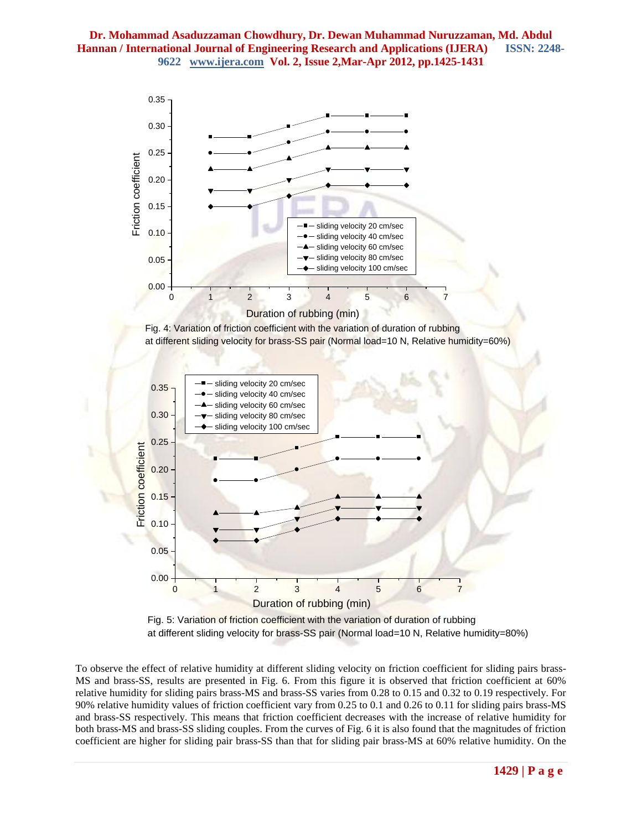

Fig. 4: Variation of friction coefficient with the variation of duration of rubbing at different sliding velocity for brass-SS pair (Normal load=10 N, Relative humidity=60%)



Fig. 5: Variation of friction coefficient with the variation of duration of rubbing at different sliding velocity for brass-SS pair (Normal load=10 N, Relative humidity=80%)

To observe the effect of relative humidity at different sliding velocity on friction coefficient for sliding pairs brass-MS and brass-SS, results are presented in Fig. 6. From this figure it is observed that friction coefficient at 60% relative humidity for sliding pairs brass-MS and brass-SS varies from 0.28 to 0.15 and 0.32 to 0.19 respectively. For 90% relative humidity values of friction coefficient vary from 0.25 to 0.1 and 0.26 to 0.11 for sliding pairs brass-MS and brass-SS respectively. This means that friction coefficient decreases with the increase of relative humidity for both brass-MS and brass-SS sliding couples. From the curves of Fig. 6 it is also found that the magnitudes of friction coefficient are higher for sliding pair brass-SS than that for sliding pair brass-MS at 60% relative humidity. On the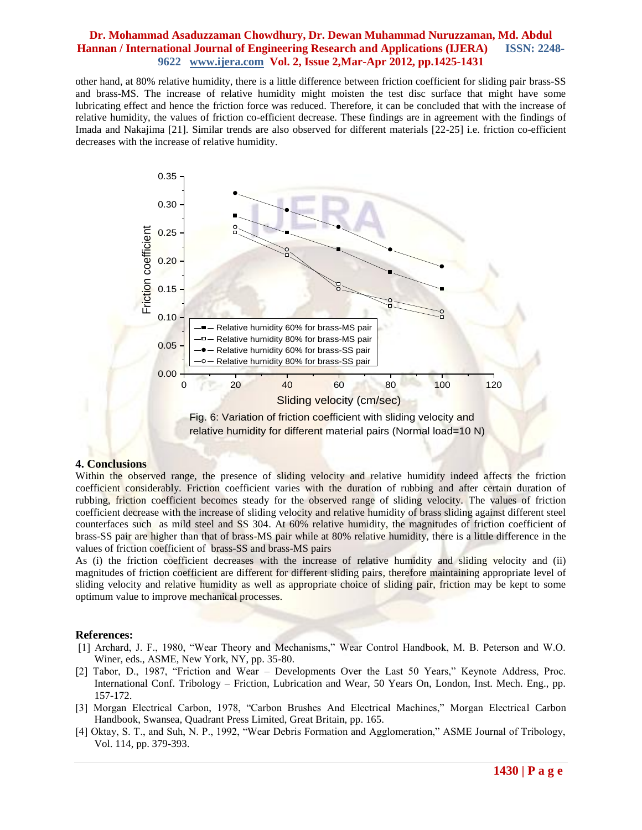other hand, at 80% relative humidity, there is a little difference between friction coefficient for sliding pair brass-SS and brass-MS. The increase of relative humidity might moisten the test disc surface that might have some lubricating effect and hence the friction force was reduced. Therefore, it can be concluded that with the increase of relative humidity, the values of friction co-efficient decrease. These findings are in agreement with the findings of Imada and Nakajima [21]. Similar trends are also observed for different materials [22-25] i.e. friction co-efficient decreases with the increase of relative humidity.



Fig. 6: Variation of friction coefficient with sliding velocity and relative humidity for different material pairs (Normal load=10 N)

#### **4. Conclusions**

Within the observed range, the presence of sliding velocity and relative humidity indeed affects the friction coefficient considerably. Friction coefficient varies with the duration of rubbing and after certain duration of rubbing, friction coefficient becomes steady for the observed range of sliding velocity. The values of friction coefficient decrease with the increase of sliding velocity and relative humidity of brass sliding against different steel counterfaces such as mild steel and SS 304. At 60% relative humidity, the magnitudes of friction coefficient of brass-SS pair are higher than that of brass-MS pair while at 80% relative humidity, there is a little difference in the values of friction coefficient of brass-SS and brass-MS pairs

As (i) the friction coefficient decreases with the increase of relative humidity and sliding velocity and (ii) magnitudes of friction coefficient are different for different sliding pairs, therefore maintaining appropriate level of sliding velocity and relative humidity as well as appropriate choice of sliding pair, friction may be kept to some optimum value to improve mechanical processes.

#### **References:**

- [1] Archard, J. F., 1980, "Wear Theory and Mechanisms," Wear Control Handbook, M. B. Peterson and W.O. Winer, eds., ASME, New York, NY, pp. 35-80.
- [2] Tabor, D., 1987, "Friction and Wear Developments Over the Last 50 Years," Keynote Address, Proc. International Conf. Tribology – Friction, Lubrication and Wear, 50 Years On, London, Inst. Mech. Eng., pp. 157-172.
- [3] Morgan Electrical Carbon, 1978, "Carbon Brushes And Electrical Machines," Morgan Electrical Carbon Handbook, Swansea, Quadrant Press Limited, Great Britain, pp. 165.
- [4] Oktay, S. T., and Suh, N. P., 1992, "Wear Debris Formation and Agglomeration," ASME Journal of Tribology, Vol. 114, pp. 379-393.